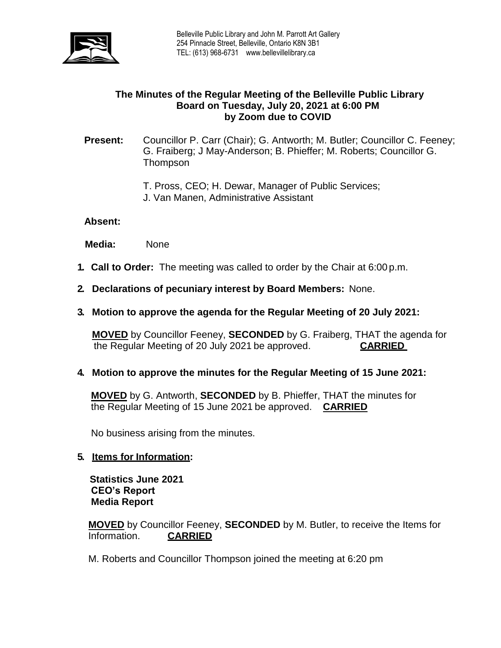

# **The Minutes of the Regular Meeting of the Belleville Public Library Board on Tuesday, July 20, 2021 at 6:00 PM by Zoom due to COVID**

### **Present:** Councillor P. Carr (Chair); G. Antworth; M. Butler; Councillor C. Feeney; G. Fraiberg; J May-Anderson; B. Phieffer; M. Roberts; Councillor G. **Thompson**

- T. Pross, CEO; H. Dewar, Manager of Public Services;
- J. Van Manen, Administrative Assistant

### **Absent:**

 **Media:** None

- **1. Call to Order:** The meeting was called to order by the Chair at 6:00 p.m.
- **2. Declarations of pecuniary interest by Board Members:** None.
- **3. Motion to approve the agenda for the Regular Meeting of 20 July 2021:**

**MOVED** by Councillor Feeney, **SECONDED** by G. Fraiberg, THAT the agenda for the Regular Meeting of 20 July 2021 be approved. **CARRIED**

### **4. Motion to approve the minutes for the Regular Meeting of 15 June 2021:**

**MOVED** by G. Antworth, **SECONDED** by B. Phieffer, THAT the minutes for the Regular Meeting of 15 June 2021 be approved. **CARRIED**

No business arising from the minutes.

### **5. Items for Information:**

 **Statistics June 2021 CEO's Report Media Report**

**MOVED** by Councillor Feeney, **SECONDED** by M. Butler, to receive the Items for Information. **CARRIED** 

M. Roberts and Councillor Thompson joined the meeting at 6:20 pm